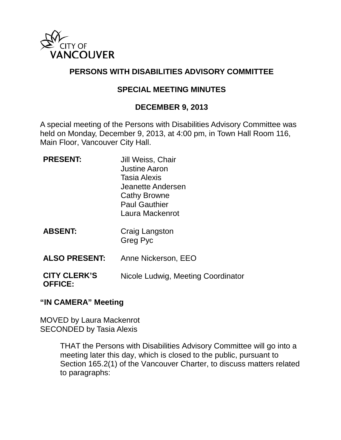

# **PERSONS WITH DISABILITIES ADVISORY COMMITTEE**

## **SPECIAL MEETING MINUTES**

#### **DECEMBER 9, 2013**

A special meeting of the Persons with Disabilities Advisory Committee was held on Monday, December 9, 2013, at 4:00 pm, in Town Hall Room 116, Main Floor, Vancouver City Hall.

| <b>PRESENT:</b>                       | Jill Weiss, Chair<br><b>Justine Aaron</b><br>Tasia Alexis<br>Jeanette Andersen<br><b>Cathy Browne</b><br><b>Paul Gauthier</b><br>Laura Mackenrot |
|---------------------------------------|--------------------------------------------------------------------------------------------------------------------------------------------------|
| <b>ABSENT:</b>                        | Craig Langston<br>Greg Pyc                                                                                                                       |
| <b>ALSO PRESENT:</b>                  | Anne Nickerson, EEO                                                                                                                              |
| <b>CITY CLERK'S</b><br><b>OFFICE:</b> | Nicole Ludwig, Meeting Coordinator                                                                                                               |

#### **"IN CAMERA" Meeting**

MOVED by Laura Mackenrot SECONDED by Tasia Alexis

> THAT the Persons with Disabilities Advisory Committee will go into a meeting later this day, which is closed to the public, pursuant to Section 165.2(1) of the Vancouver Charter, to discuss matters related to paragraphs: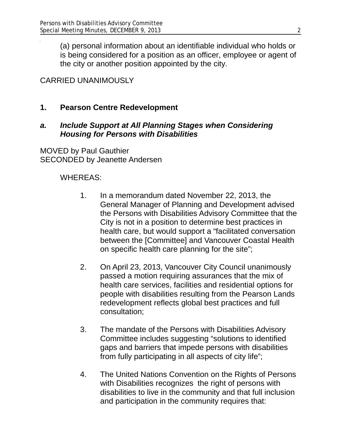(a) personal information about an identifiable individual who holds or is being considered for a position as an officer, employee or agent of the city or another position appointed by the city.

# CARRIED UNANIMOUSLY

### **1. Pearson Centre Redevelopment**

#### *a. Include Support at All Planning Stages when Considering Housing for Persons with Disabilities*

MOVED by Paul Gauthier SECONDED by Jeanette Andersen

### WHEREAS:

- 1. In a memorandum dated November 22, 2013, the General Manager of Planning and Development advised the Persons with Disabilities Advisory Committee that the City is not in a position to determine best practices in health care, but would support a "facilitated conversation between the [Committee] and Vancouver Coastal Health on specific health care planning for the site";
- 2. On April 23, 2013, Vancouver City Council unanimously passed a motion requiring assurances that the mix of health care services, facilities and residential options for people with disabilities resulting from the Pearson Lands redevelopment reflects global best practices and full consultation;
- 3. The mandate of the Persons with Disabilities Advisory Committee includes suggesting "solutions to identified gaps and barriers that impede persons with disabilities from fully participating in all aspects of city life";
- 4. The United Nations Convention on the Rights of Persons with Disabilities recognizes the right of persons with disabilities to live in the community and that full inclusion and participation in the community requires that: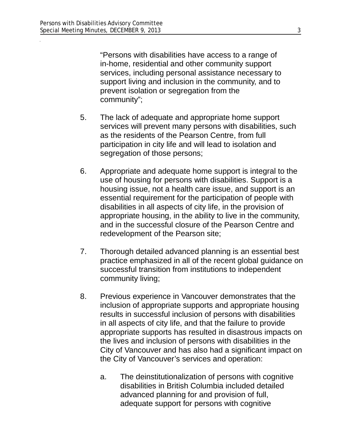"Persons with disabilities have access to a range of in-home, residential and other community support services, including personal assistance necessary to support living and inclusion in the community, and to prevent isolation or segregation from the community";

- 5. The lack of adequate and appropriate home support services will prevent many persons with disabilities, such as the residents of the Pearson Centre, from full participation in city life and will lead to isolation and segregation of those persons;
- 6. Appropriate and adequate home support is integral to the use of housing for persons with disabilities. Support is a housing issue, not a health care issue, and support is an essential requirement for the participation of people with disabilities in all aspects of city life, in the provision of appropriate housing, in the ability to live in the community, and in the successful closure of the Pearson Centre and redevelopment of the Pearson site;
- 7. Thorough detailed advanced planning is an essential best practice emphasized in all of the recent global guidance on successful transition from institutions to independent community living;
- 8. Previous experience in Vancouver demonstrates that the inclusion of appropriate supports and appropriate housing results in successful inclusion of persons with disabilities in all aspects of city life, and that the failure to provide appropriate supports has resulted in disastrous impacts on the lives and inclusion of persons with disabilities in the City of Vancouver and has also had a significant impact on the City of Vancouver's services and operation:
	- a. The deinstitutionalization of persons with cognitive disabilities in British Columbia included detailed advanced planning for and provision of full, adequate support for persons with cognitive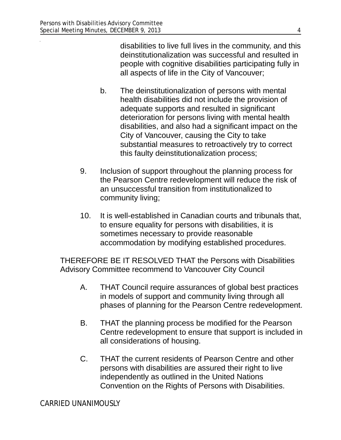disabilities to live full lives in the community, and this deinstitutionalization was successful and resulted in people with cognitive disabilities participating fully in all aspects of life in the City of Vancouver;

- b. The deinstitutionalization of persons with mental health disabilities did not include the provision of adequate supports and resulted in significant deterioration for persons living with mental health disabilities, and also had a significant impact on the City of Vancouver, causing the City to take substantial measures to retroactively try to correct this faulty deinstitutionalization process;
- 9. Inclusion of support throughout the planning process for the Pearson Centre redevelopment will reduce the risk of an unsuccessful transition from institutionalized to community living;
- 10. It is well-established in Canadian courts and tribunals that, to ensure equality for persons with disabilities, it is sometimes necessary to provide reasonable accommodation by modifying established procedures.

THEREFORE BE IT RESOLVED THAT the Persons with Disabilities Advisory Committee recommend to Vancouver City Council

- A. THAT Council require assurances of global best practices in models of support and community living through all phases of planning for the Pearson Centre redevelopment.
- B. THAT the planning process be modified for the Pearson Centre redevelopment to ensure that support is included in all considerations of housing.
- C. THAT the current residents of Pearson Centre and other persons with disabilities are assured their right to live independently as outlined in the United Nations Convention on the Rights of Persons with Disabilities.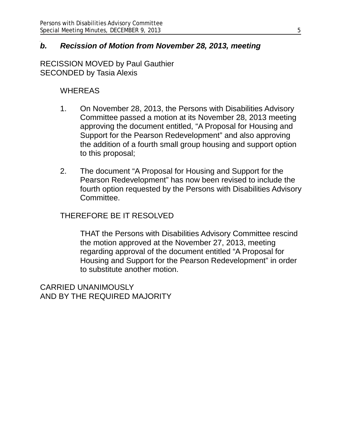### *b. Recission of Motion from November 28, 2013, meeting*

RECISSION MOVED by Paul Gauthier SECONDED by Tasia Alexis

#### WHEREAS

- 1. On November 28, 2013, the Persons with Disabilities Advisory Committee passed a motion at its November 28, 2013 meeting approving the document entitled, "A Proposal for Housing and Support for the Pearson Redevelopment" and also approving the addition of a fourth small group housing and support option to this proposal;
- 2. The document "A Proposal for Housing and Support for the Pearson Redevelopment" has now been revised to include the fourth option requested by the Persons with Disabilities Advisory Committee.

#### THEREFORE BE IT RESOLVED

THAT the Persons with Disabilities Advisory Committee rescind the motion approved at the November 27, 2013, meeting regarding approval of the document entitled "A Proposal for Housing and Support for the Pearson Redevelopment" in order to substitute another motion.

CARRIED UNANIMOUSLY AND BY THE REQUIRED MAJORITY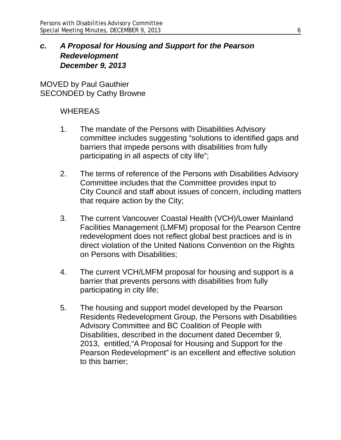## *c. A Proposal for Housing and Support for the Pearson Redevelopment December 9, 2013*

MOVED by Paul Gauthier SECONDED by Cathy Browne

#### **WHEREAS**

- 1. The mandate of the Persons with Disabilities Advisory committee includes suggesting "solutions to identified gaps and barriers that impede persons with disabilities from fully participating in all aspects of city life";
- 2. The terms of reference of the Persons with Disabilities Advisory Committee includes that the Committee provides input to City Council and staff about issues of concern, including matters that require action by the City;
- 3. The current Vancouver Coastal Health (VCH)/Lower Mainland Facilities Management (LMFM) proposal for the Pearson Centre redevelopment does not reflect global best practices and is in direct violation of the United Nations Convention on the Rights on Persons with Disabilities;
- 4. The current VCH/LMFM proposal for housing and support is a barrier that prevents persons with disabilities from fully participating in city life;
- 5. The housing and support model developed by the Pearson Residents Redevelopment Group, the Persons with Disabilities Advisory Committee and BC Coalition of People with Disabilities, described in the document dated December 9, 2013, entitled,"A Proposal for Housing and Support for the Pearson Redevelopment" is an excellent and effective solution to this barrier;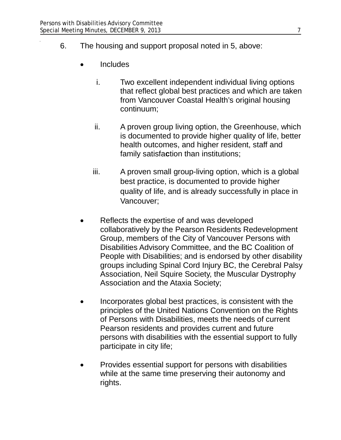- 6. The housing and support proposal noted in 5, above:
	- **Includes** 
		- i. Two excellent independent individual living options that reflect global best practices and which are taken from Vancouver Coastal Health's original housing continuum;
		- ii. A proven group living option, the Greenhouse, which is documented to provide higher quality of life, better health outcomes, and higher resident, staff and family satisfa**c**tion than institutions;
		- iii. A proven small group-living option, which is a global best practice, is documented to provide higher quality of life, and is already successfully in place in Vancouver;
	- Reflects the expertise of and was developed collaboratively by the Pearson Residents Redevelopment Group, members of the City of Vancouver Persons with Disabilities Advisory Committee, and the BC Coalition of People with Disabilities; and is endorsed by other disability groups including Spinal Cord Injury BC, the Cerebral Palsy Association, Neil Squire Society, the Muscular Dystrophy Association and the Ataxia Society;
	- Incorporates global best practices, is consistent with the principles of the United Nations Convention on the Rights of Persons with Disabilities, meets the needs of current Pearson residents and provides current and future persons with disabilities with the essential support to fully participate in city life;
	- Provides essential support for persons with disabilities while at the same time preserving their autonomy and rights.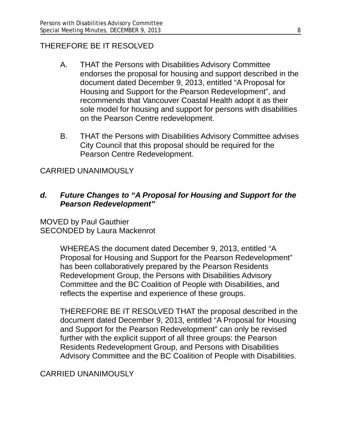### THEREFORE BE IT RESOLVED

- A. THAT the Persons with Disabilities Advisory Committee endorses the proposal for housing and support described in the document dated December 9, 2013, entitled "A Proposal for Housing and Support for the Pearson Redevelopment", and recommends that Vancouver Coastal Health adopt it as their sole model for housing and support for persons with disabilities on the Pearson Centre redevelopment.
- B. THAT the Persons with Disabilities Advisory Committee advises City Council that this proposal should be required for the Pearson Centre Redevelopment.

## CARRIED UNANIMOUSLY

### *d. Future Changes to "A Proposal for Housing and Support for the Pearson Redevelopment"*

MOVED by Paul Gauthier SECONDED by Laura Mackenrot

> WHEREAS the document dated December 9, 2013, entitled "A Proposal for Housing and Support for the Pearson Redevelopment" has been collaboratively prepared by the Pearson Residents Redevelopment Group, the Persons with Disabilities Advisory Committee and the BC Coalition of People with Disabilities, and reflects the expertise and experience of these groups.

THEREFORE BE IT RESOLVED THAT the proposal described in the document dated December 9, 2013, entitled "A Proposal for Housing and Support for the Pearson Redevelopment" can only be revised further with the explicit support of all three groups: the Pearson Residents Redevelopment Group, and Persons with Disabilities Advisory Committee and the BC Coalition of People with Disabilities.

## CARRIED UNANIMOUSLY